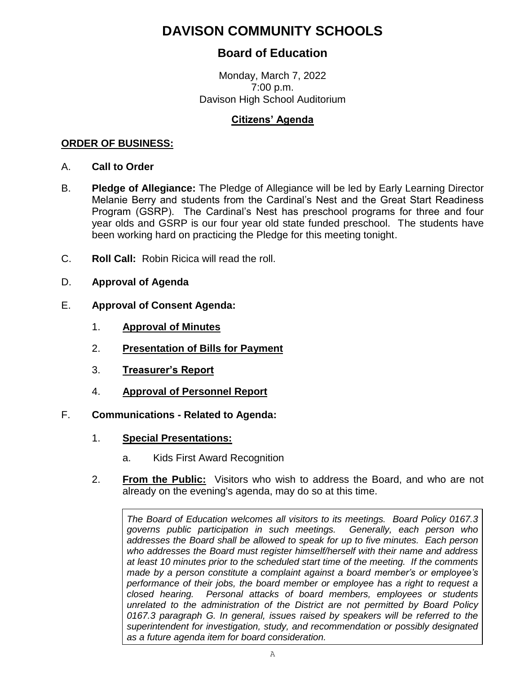# **DAVISON COMMUNITY SCHOOLS**

## **Board of Education**

Monday, March 7, 2022 7:00 p.m. Davison High School Auditorium

### **Citizens' Agenda**

#### **ORDER OF BUSINESS:**

- A. **Call to Order**
- B. **Pledge of Allegiance:** The Pledge of Allegiance will be led by Early Learning Director Melanie Berry and students from the Cardinal's Nest and the Great Start Readiness Program (GSRP). The Cardinal's Nest has preschool programs for three and four year olds and GSRP is our four year old state funded preschool. The students have been working hard on practicing the Pledge for this meeting tonight.
- C. **Roll Call:** Robin Ricica will read the roll.
- D. **Approval of Agenda**
- E. **Approval of Consent Agenda:**
	- 1. **Approval of Minutes**
	- 2. **Presentation of Bills for Payment**
	- 3. **Treasurer's Report**
	- 4. **Approval of Personnel Report**

#### F. **Communications - Related to Agenda:**

- 1. **Special Presentations:**
	- a. Kids First Award Recognition
- 2. **From the Public:** Visitors who wish to address the Board, and who are not already on the evening's agenda, may do so at this time.

*The Board of Education welcomes all visitors to its meetings. Board Policy 0167.3 governs public participation in such meetings. Generally, each person who addresses the Board shall be allowed to speak for up to five minutes. Each person who addresses the Board must register himself/herself with their name and address at least 10 minutes prior to the scheduled start time of the meeting. If the comments made by a person constitute a complaint against a board member's or employee's performance of their jobs, the board member or employee has a right to request a closed hearing. Personal attacks of board members, employees or students unrelated to the administration of the District are not permitted by Board Policy 0167.3 paragraph G. In general, issues raised by speakers will be referred to the superintendent for investigation, study, and recommendation or possibly designated as a future agenda item for board consideration.*